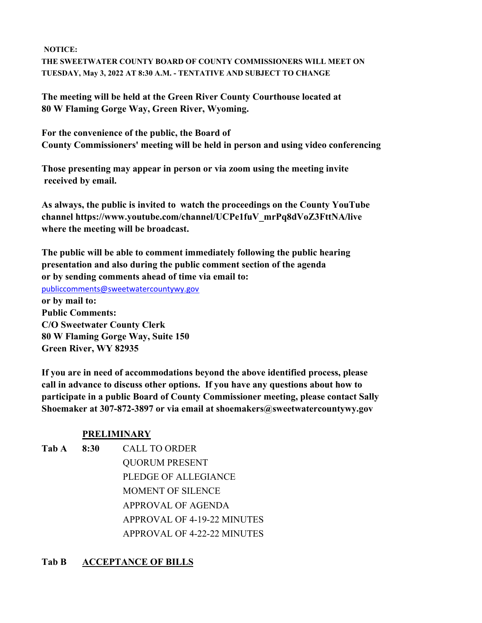**NOTICE: THE SWEETWATER COUNTY BOARD OF COUNTY COMMISSIONERS WILL MEET ON TUESDAY, May 3, 2022 AT 8:30 A.M. - TENTATIVE AND SUBJECT TO CHANGE**

**The meeting will be held at the Green River County Courthouse located at 80 W Flaming Gorge Way, Green River, Wyoming.**

**For the convenience of the public, the Board of County Commissioners' meeting will be held in person and using video conferencing**

**Those presenting may appear in person or via zoom using the meeting invite received by email.**

**As always, the public is invited to watch the proceedings on the County YouTube channel https://www.youtube.com/channel/UCPe1fuV\_mrPq8dVoZ3FttNA/live where the meeting will be broadcast.** 

**The public will be able to comment immediately following the public hearing presentation and also during the public comment section of the agenda or by sending comments ahead of time via email to:**  publiccomments@sweetwatercountywy.gov **or by mail to: Public Comments: C/O Sweetwater County Clerk 80 W Flaming Gorge Way, Suite 150 Green River, WY 82935**

**If you are in need of accommodations beyond the above identified process, please call in advance to discuss other options. If you have any questions about how to participate in a public Board of County Commissioner meeting, please contact Sally Shoemaker at 307-872-3897 or via email at shoemakers@sweetwatercountywy.gov** 

## **PRELIMINARY**

**Tab A 8:30** CALL TO ORDER

QUORUM PRESENT PLEDGE OF ALLEGIANCE MOMENT OF SILENCE APPROVAL OF AGENDA APPROVAL OF 4-19-22 MINUTES APPROVAL OF 4-22-22 MINUTES

## **Tab B ACCEPTANCE OF BILLS**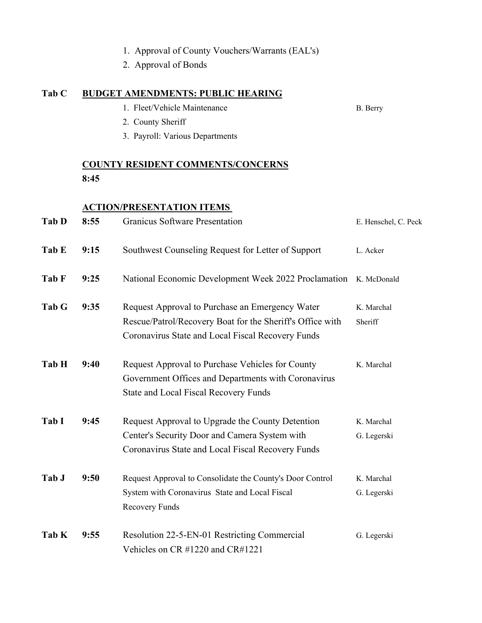|       |                                          | 1. Approval of County Vouchers/Warrants (EAL's)<br>2. Approval of Bonds |                      |  |  |
|-------|------------------------------------------|-------------------------------------------------------------------------|----------------------|--|--|
| Tab C | <b>BUDGET AMENDMENTS: PUBLIC HEARING</b> |                                                                         |                      |  |  |
|       |                                          | 1. Fleet/Vehicle Maintenance                                            | B. Berry             |  |  |
|       |                                          | 2. County Sheriff                                                       |                      |  |  |
|       |                                          | 3. Payroll: Various Departments                                         |                      |  |  |
|       |                                          | <b>COUNTY RESIDENT COMMENTS/CONCERNS</b>                                |                      |  |  |
|       | 8:45                                     |                                                                         |                      |  |  |
|       | <b>ACTION/PRESENTATION ITEMS</b>         |                                                                         |                      |  |  |
| Tab D | 8:55                                     | <b>Granicus Software Presentation</b>                                   | E. Henschel, C. Peck |  |  |
| Tab E | 9:15                                     | Southwest Counseling Request for Letter of Support                      | L. Acker             |  |  |
| Tab F | 9:25                                     | National Economic Development Week 2022 Proclamation K. McDonald        |                      |  |  |
| Tab G | 9:35                                     | Request Approval to Purchase an Emergency Water                         | K. Marchal           |  |  |
|       |                                          | Rescue/Patrol/Recovery Boat for the Sheriff's Office with               | Sheriff              |  |  |
|       |                                          | Coronavirus State and Local Fiscal Recovery Funds                       |                      |  |  |
| Tab H | 9:40                                     | Request Approval to Purchase Vehicles for County                        | K. Marchal           |  |  |
|       |                                          | Government Offices and Departments with Coronavirus                     |                      |  |  |
|       |                                          | <b>State and Local Fiscal Recovery Funds</b>                            |                      |  |  |
| Tab I | 9:45                                     | Request Approval to Upgrade the County Detention                        | K. Marchal           |  |  |
|       |                                          | Center's Security Door and Camera System with                           | G. Legerski          |  |  |
|       |                                          | Coronavirus State and Local Fiscal Recovery Funds                       |                      |  |  |
| Tab J | 9:50                                     | Request Approval to Consolidate the County's Door Control               | K. Marchal           |  |  |
|       |                                          | System with Coronavirus State and Local Fiscal                          | G. Legerski          |  |  |
|       |                                          | <b>Recovery Funds</b>                                                   |                      |  |  |
| Tab K | 9:55                                     | Resolution 22-5-EN-01 Restricting Commercial                            | G. Legerski          |  |  |
|       |                                          | Vehicles on CR #1220 and CR#1221                                        |                      |  |  |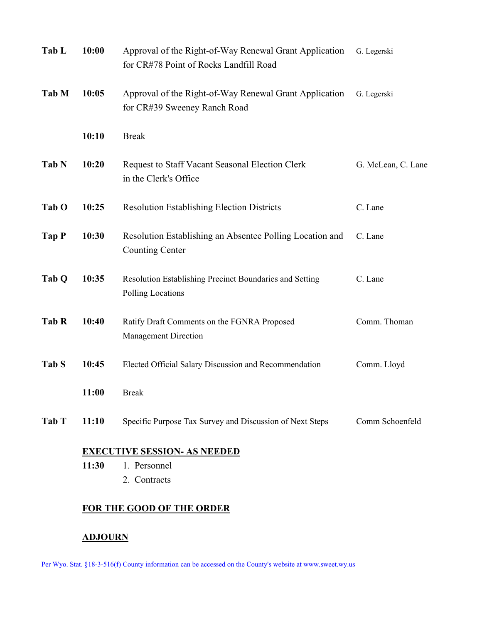| Tab L            | 10:00                               | Approval of the Right-of-Way Renewal Grant Application<br>for CR#78 Point of Rocks Landfill Road | G. Legerski        |  |  |
|------------------|-------------------------------------|--------------------------------------------------------------------------------------------------|--------------------|--|--|
| Tab M            | 10:05                               | Approval of the Right-of-Way Renewal Grant Application<br>for CR#39 Sweeney Ranch Road           | G. Legerski        |  |  |
|                  | 10:10                               | <b>Break</b>                                                                                     |                    |  |  |
| Tab N            | 10:20                               | Request to Staff Vacant Seasonal Election Clerk<br>in the Clerk's Office                         | G. McLean, C. Lane |  |  |
| Tab O            | 10:25                               | <b>Resolution Establishing Election Districts</b>                                                | C. Lane            |  |  |
| Tap P            | 10:30                               | Resolution Establishing an Absentee Polling Location and<br><b>Counting Center</b>               | C. Lane            |  |  |
| Tab <sub>Q</sub> | 10:35                               | Resolution Establishing Precinct Boundaries and Setting<br>Polling Locations                     | C. Lane            |  |  |
| Tab R            | 10:40                               | Ratify Draft Comments on the FGNRA Proposed<br><b>Management Direction</b>                       | Comm. Thoman       |  |  |
| Tab S            | 10:45                               | Elected Official Salary Discussion and Recommendation                                            | Comm. Lloyd        |  |  |
|                  | 11:00                               | <b>Break</b>                                                                                     |                    |  |  |
| Tab T            | 11:10                               | Specific Purpose Tax Survey and Discussion of Next Steps                                         | Comm Schoenfeld    |  |  |
|                  | <b>EXECUTIVE SESSION- AS NEEDED</b> |                                                                                                  |                    |  |  |
|                  | 11:30                               | 1. Personnel<br>2. Contracts                                                                     |                    |  |  |
|                  |                                     |                                                                                                  |                    |  |  |

## **FOR THE GOOD OF THE ORDER**

## **ADJOURN**

Per Wyo. Stat. §18-3-516(f) County information can be accessed on the County's website at www.sweet.wy.us